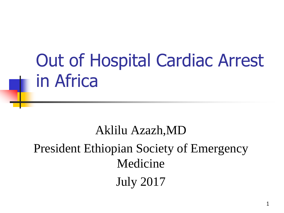## Out of Hospital Cardiac Arrest in Africa

Aklilu Azazh,MD President Ethiopian Society of Emergency Medicine July 2017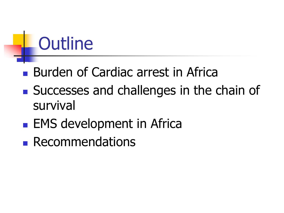## **Outline**

- **Burden of Cardiac arrest in Africa**
- **Successes and challenges in the chain of** survival
- **EMS development in Africa**
- **Recommendations**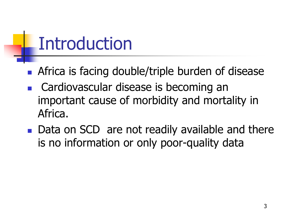## Introduction

- **Africa is facing double/triple burden of disease**
- Cardiovascular disease is becoming an important cause of morbidity and mortality in Africa.
- Data on SCD are not readily available and there is no information or only poor-quality data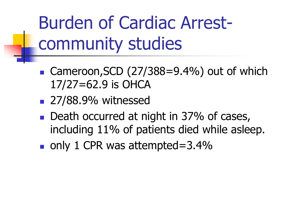Burden of Cardiac Arrestcommunity studies

- Cameroon, SCD  $(27/388=9.4\%)$  out of which 17/27=62.9 is OHCA
- **27/88.9% witnessed**
- Death occurred at night in 37% of cases, including 11% of patients died while asleep.
- $\blacksquare$  only 1 CPR was attempted=3.4%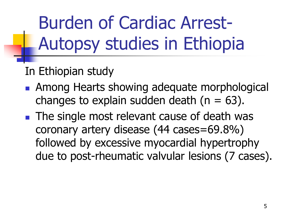Burden of Cardiac Arrest-Autopsy studies in Ethiopia

In Ethiopian study

- **Among Hearts showing adequate morphological** changes to explain sudden death ( $n = 63$ ).
- **The single most relevant cause of death was** coronary artery disease (44 cases=69.8%) followed by excessive myocardial hypertrophy due to post-rheumatic valvular lesions (7 cases).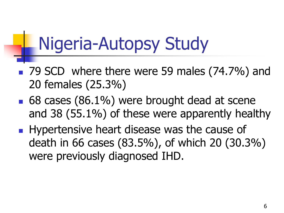## Nigeria-Autopsy Study

- 79 SCD where there were 59 males (74.7%) and 20 females (25.3%)
- 68 cases (86.1%) were brought dead at scene and 38 (55.1%) of these were apparently healthy
- **Hypertensive heart disease was the cause of** death in 66 cases (83.5%), of which 20 (30.3%) were previously diagnosed IHD.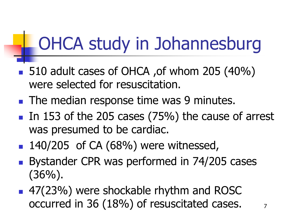## OHCA study in Johannesburg

- 510 adult cases of OHCA, of whom 205 (40%) were selected for resuscitation.
- **The median response time was 9 minutes.**
- In 153 of the 205 cases  $(75%)$  the cause of arrest was presumed to be cardiac.
- $\blacksquare$  140/205 of CA (68%) were witnessed,
- Bystander CPR was performed in 74/205 cases  $(36\%)$ .
- 47(23%) were shockable rhythm and ROSC occurred in 36 (18%) of resuscitated cases.  $\frac{7}{2}$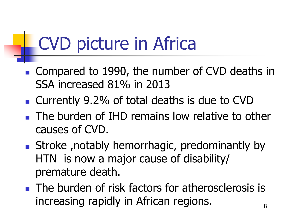## CVD picture in Africa

- Compared to 1990, the number of CVD deaths in SSA increased 81% in 2013
- Currently 9.2% of total deaths is due to CVD
- **The burden of IHD remains low relative to other** causes of CVD.
- **Stroke**, notably hemorrhagic, predominantly by HTN is now a major cause of disability/ premature death.
- **The burden of risk factors for atherosclerosis is** increasing rapidly in African regions.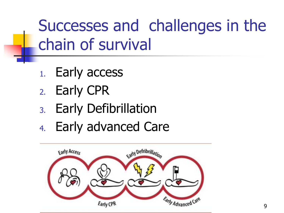Successes and challenges in the chain of survival

- 1. Early access
- 2. Early CPR
- 3. Early Defibrillation
- 4. Early advanced Care

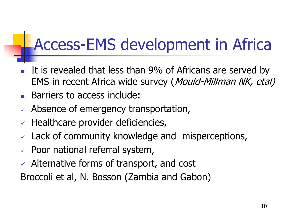#### Access-EMS development in Africa

- It is revealed that less than 9% of Africans are served by EMS in recent Africa wide survey (Mould-Millman NK, etal)
- Barriers to access include:
- $\checkmark$  Absence of emergency transportation,
- $\vee$  Healthcare provider deficiencies,
- $\vee$  Lack of community knowledge and misperceptions,
- $\vee$  Poor national referral system,
- $\sqrt{ }$  Alternative forms of transport, and cost

Broccoli et al, N. Bosson (Zambia and Gabon)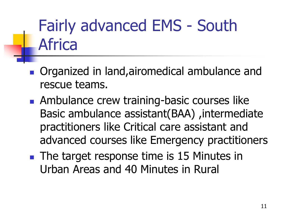### Fairly advanced EMS - South Africa

- **Organized in land, airomedical ambulance and** rescue teams.
- **Ambulance crew training-basic courses like** Basic ambulance assistant(BAA), intermediate practitioners like Critical care assistant and advanced courses like Emergency practitioners
- **The target response time is 15 Minutes in** Urban Areas and 40 Minutes in Rural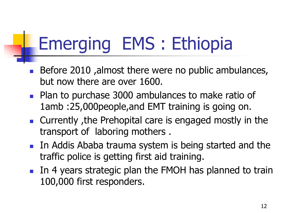# Emerging EMS : Ethiopia

- Before 2010 ,almost there were no public ambulances, but now there are over 1600.
- **Plan to purchase 3000 ambulances to make ratio of** 1amb :25,000people,and EMT training is going on.
- Currently, the Prehopital care is engaged mostly in the transport of laboring mothers .
- **In Addis Ababa trauma system is being started and the** traffic police is getting first aid training.
- In 4 years strategic plan the FMOH has planned to train 100,000 first responders.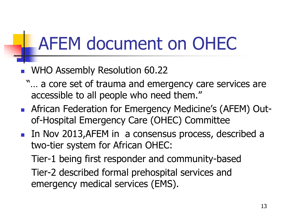## AFEM document on OHEC

- WHO Assembly Resolution 60.22
	- "… a core set of trauma and emergency care services are accessible to all people who need them."
- **EXECTICAN Federation for Emergency Medicine's (AFEM) Out**of-Hospital Emergency Care (OHEC) Committee
- In Nov 2013, AFEM in a consensus process, described a two-tier system for African OHEC:

Tier-1 being first responder and community-based Tier-2 described formal prehospital services and emergency medical services (EMS).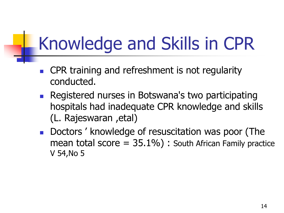## Knowledge and Skills in CPR

- CPR training and refreshment is not regularity conducted.
- **Registered nurses in Botswana's two participating** hospitals had inadequate CPR knowledge and skills (L. Rajeswaran ,etal)
- **Doctors** ' knowledge of resuscitation was poor (The mean total score  $= 35.1\%$  : South African Family practice V 54,No 5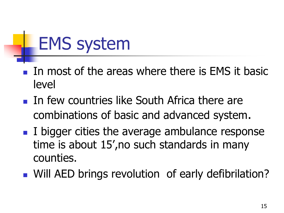## EMS system

- In most of the areas where there is EMS it basic level
- **In few countries like South Africa there are** combinations of basic and advanced system.
- I bigger cities the average ambulance response time is about 15',no such standards in many counties.
- **Null AED brings revolution of early defibrilation?**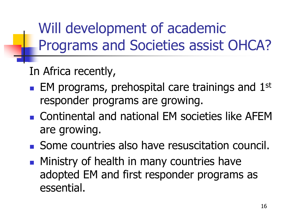Will development of academic Programs and Societies assist OHCA?

In Africa recently,

- $\blacksquare$  EM programs, prehospital care trainings and 1st responder programs are growing.
- Continental and national EM societies like AFEM are growing.
- Some countries also have resuscitation council.
- **Ministry of health in many countries have** adopted EM and first responder programs as essential.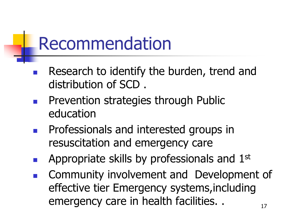### Recommendation

- Research to identify the burden, trend and distribution of SCD .
- Prevention strategies through Public education
- Professionals and interested groups in resuscitation and emergency care
- Appropriate skills by professionals and 1st
- Community involvement and Development of effective tier Emergency systems,including emergency care in health facilities. .  $17$